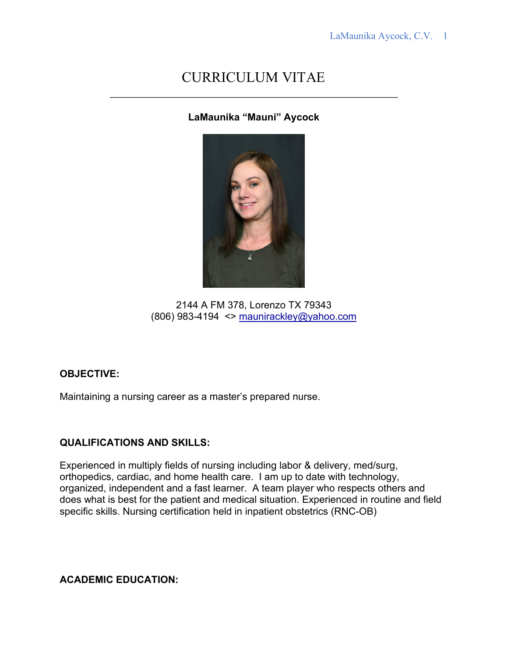# CURRICULUM VITAE

**LaMaunika "Mauni" Aycock**



2144 A FM 378, Lorenzo TX 79343 (806) 983-4194  $\leq$  [maunirackley@yahoo.com](mailto:maunirackley@yahoo.com)

## **OBJECTIVE:**

Maintaining a nursing career as a master's prepared nurse.

## **QUALIFICATIONS AND SKILLS:**

Experienced in multiply fields of nursing including labor & delivery, med/surg, orthopedics, cardiac, and home health care. I am up to date with technology, organized, independent and a fast learner. A team player who respects others and does what is best for the patient and medical situation. Experienced in routine and field specific skills. Nursing certification held in inpatient obstetrics (RNC-OB)

**ACADEMIC EDUCATION:**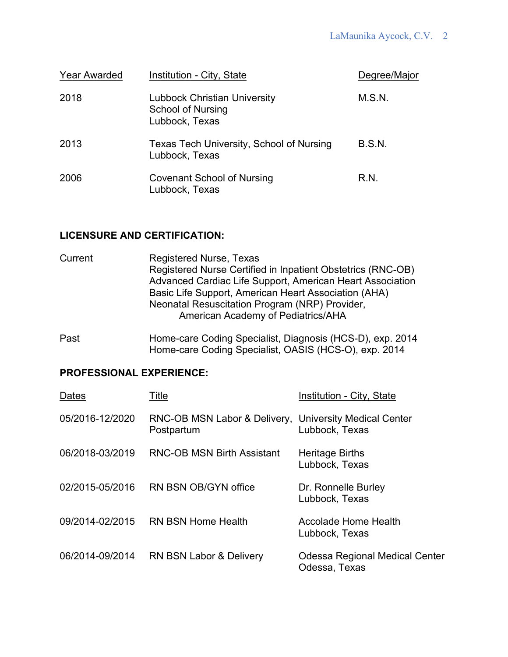| <b>Year Awarded</b> | Institution - City, State                                                         | Degree/Major  |
|---------------------|-----------------------------------------------------------------------------------|---------------|
| 2018                | <b>Lubbock Christian University</b><br><b>School of Nursing</b><br>Lubbock, Texas | M.S.N.        |
| 2013                | Texas Tech University, School of Nursing<br>Lubbock, Texas                        | <b>B.S.N.</b> |
| 2006                | <b>Covenant School of Nursing</b><br>Lubbock, Texas                               | R.N.          |

#### **LICENSURE AND CERTIFICATION:**

| Current | Registered Nurse, Texas                                     |
|---------|-------------------------------------------------------------|
|         | Registered Nurse Certified in Inpatient Obstetrics (RNC-OB) |
|         | Advanced Cardiac Life Support, American Heart Association   |
|         | Basic Life Support, American Heart Association (AHA)        |
|         | Neonatal Resuscitation Program (NRP) Provider,              |
|         | American Academy of Pediatrics/AHA                          |

Past Home-care Coding Specialist, Diagnosis (HCS-D), exp. 2014 Home-care Coding Specialist, OASIS (HCS-O), exp. 2014

# **PROFESSIONAL EXPERIENCE:**

| Dates           | Title                                                                | <b>Institution - City, State</b>                       |
|-----------------|----------------------------------------------------------------------|--------------------------------------------------------|
| 05/2016-12/2020 | RNC-OB MSN Labor & Delivery, University Medical Center<br>Postpartum | Lubbock, Texas                                         |
| 06/2018-03/2019 | <b>RNC-OB MSN Birth Assistant</b>                                    | <b>Heritage Births</b><br>Lubbock, Texas               |
|                 | 02/2015-05/2016 RN BSN OB/GYN office                                 | Dr. Ronnelle Burley<br>Lubbock, Texas                  |
|                 | 09/2014-02/2015 RN BSN Home Health                                   | Accolade Home Health<br>Lubbock, Texas                 |
| 06/2014-09/2014 | <b>RN BSN Labor &amp; Delivery</b>                                   | <b>Odessa Regional Medical Center</b><br>Odessa, Texas |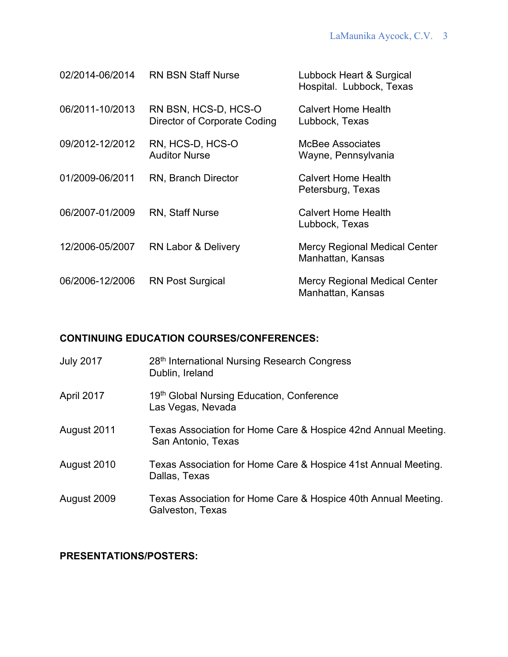| 02/2014-06/2014 | <b>RN BSN Staff Nurse</b>                                   | Lubbock Heart & Surgical<br>Hospital. Lubbock, Texas      |
|-----------------|-------------------------------------------------------------|-----------------------------------------------------------|
| 06/2011-10/2013 | RN BSN, HCS-D, HCS-O<br><b>Director of Corporate Coding</b> | <b>Calvert Home Health</b><br>Lubbock, Texas              |
| 09/2012-12/2012 | RN, HCS-D, HCS-O<br><b>Auditor Nurse</b>                    | McBee Associates<br>Wayne, Pennsylvania                   |
| 01/2009-06/2011 | <b>RN, Branch Director</b>                                  | Calvert Home Health<br>Petersburg, Texas                  |
| 06/2007-01/2009 | <b>RN, Staff Nurse</b>                                      | <b>Calvert Home Health</b><br>Lubbock, Texas              |
| 12/2006-05/2007 | <b>RN Labor &amp; Delivery</b>                              | <b>Mercy Regional Medical Center</b><br>Manhattan, Kansas |
| 06/2006-12/2006 | <b>RN Post Surgical</b>                                     | <b>Mercy Regional Medical Center</b><br>Manhattan, Kansas |

## **CONTINUING EDUCATION COURSES/CONFERENCES:**

| <b>July 2017</b> | 28th International Nursing Research Congress<br>Dublin, Ireland                      |
|------------------|--------------------------------------------------------------------------------------|
| April 2017       | 19th Global Nursing Education, Conference<br>Las Vegas, Nevada                       |
| August 2011      | Texas Association for Home Care & Hospice 42nd Annual Meeting.<br>San Antonio, Texas |
| August 2010      | Texas Association for Home Care & Hospice 41st Annual Meeting.<br>Dallas, Texas      |
| August 2009      | Texas Association for Home Care & Hospice 40th Annual Meeting.<br>Galveston, Texas   |

# **PRESENTATIONS/POSTERS:**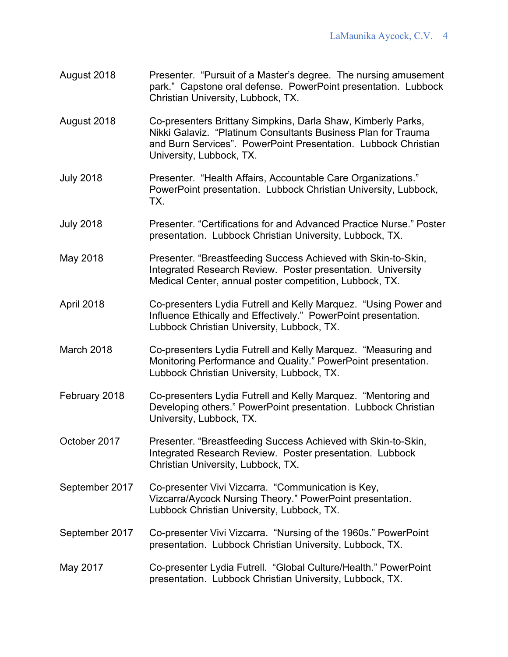- August 2018 Presenter. "Pursuit of a Master's degree. The nursing amusement park." Capstone oral defense. PowerPoint presentation. Lubbock Christian University, Lubbock, TX.
- August 2018 Co-presenters Brittany Simpkins, Darla Shaw, Kimberly Parks, Nikki Galaviz. "Platinum Consultants Business Plan for Trauma and Burn Services". PowerPoint Presentation. Lubbock Christian University, Lubbock, TX.
- July 2018 Presenter. "Health Affairs, Accountable Care Organizations." PowerPoint presentation. Lubbock Christian University, Lubbock, TX.
- July 2018 Presenter. "Certifications for and Advanced Practice Nurse." Poster presentation. Lubbock Christian University, Lubbock, TX.
- May 2018 Presenter. "Breastfeeding Success Achieved with Skin-to-Skin, Integrated Research Review. Poster presentation. University Medical Center, annual poster competition, Lubbock, TX.
- April 2018 Co-presenters Lydia Futrell and Kelly Marquez. "Using Power and Influence Ethically and Effectively." PowerPoint presentation. Lubbock Christian University, Lubbock, TX.
- March 2018 Co-presenters Lydia Futrell and Kelly Marquez. "Measuring and Monitoring Performance and Quality." PowerPoint presentation. Lubbock Christian University, Lubbock, TX.
- February 2018 Co-presenters Lydia Futrell and Kelly Marquez. "Mentoring and Developing others." PowerPoint presentation. Lubbock Christian University, Lubbock, TX.
- October 2017 Presenter. "Breastfeeding Success Achieved with Skin-to-Skin, Integrated Research Review. Poster presentation. Lubbock Christian University, Lubbock, TX.
- September 2017 Co-presenter Vivi Vizcarra. "Communication is Key, Vizcarra/Aycock Nursing Theory." PowerPoint presentation. Lubbock Christian University, Lubbock, TX.
- September 2017 Co-presenter Vivi Vizcarra. "Nursing of the 1960s." PowerPoint presentation. Lubbock Christian University, Lubbock, TX.
- May 2017 Co-presenter Lydia Futrell. "Global Culture/Health." PowerPoint presentation. Lubbock Christian University, Lubbock, TX.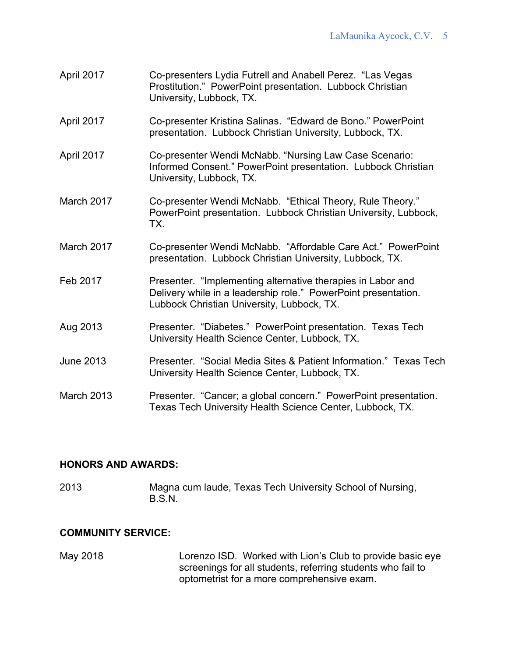- April 2017 Co-presenters Lydia Futrell and Anabell Perez. "Las Vegas Prostitution." PowerPoint presentation. Lubbock Christian University, Lubbock, TX.
- April 2017 Co-presenter Kristina Salinas. "Edward de Bono." PowerPoint presentation. Lubbock Christian University, Lubbock, TX.
- April 2017 Co-presenter Wendi McNabb. "Nursing Law Case Scenario: Informed Consent." PowerPoint presentation. Lubbock Christian University, Lubbock, TX.
- March 2017 Co-presenter Wendi McNabb. "Ethical Theory, Rule Theory." PowerPoint presentation. Lubbock Christian University, Lubbock, TX.
- March 2017 Co-presenter Wendi McNabb. "Affordable Care Act." PowerPoint presentation. Lubbock Christian University, Lubbock, TX.
- Feb 2017 **Presenter.** "Implementing alternative therapies in Labor and Delivery while in a leadership role." PowerPoint presentation. Lubbock Christian University, Lubbock, TX.
- Aug 2013 Presenter. "Diabetes." PowerPoint presentation. Texas Tech University Health Science Center, Lubbock, TX.
- June 2013 Presenter. "Social Media Sites & Patient Information." Texas Tech University Health Science Center, Lubbock, TX.
- March 2013 Presenter. "Cancer; a global concern." PowerPoint presentation. Texas Tech University Health Science Center, Lubbock, TX.

## **HONORS AND AWARDS:**

2013 Magna cum laude, Texas Tech University School of Nursing, B.S.N.

## **COMMUNITY SERVICE:**

May 2018 Lorenzo ISD. Worked with Lion's Club to provide basic eye screenings for all students, referring students who fail to optometrist for a more comprehensive exam.